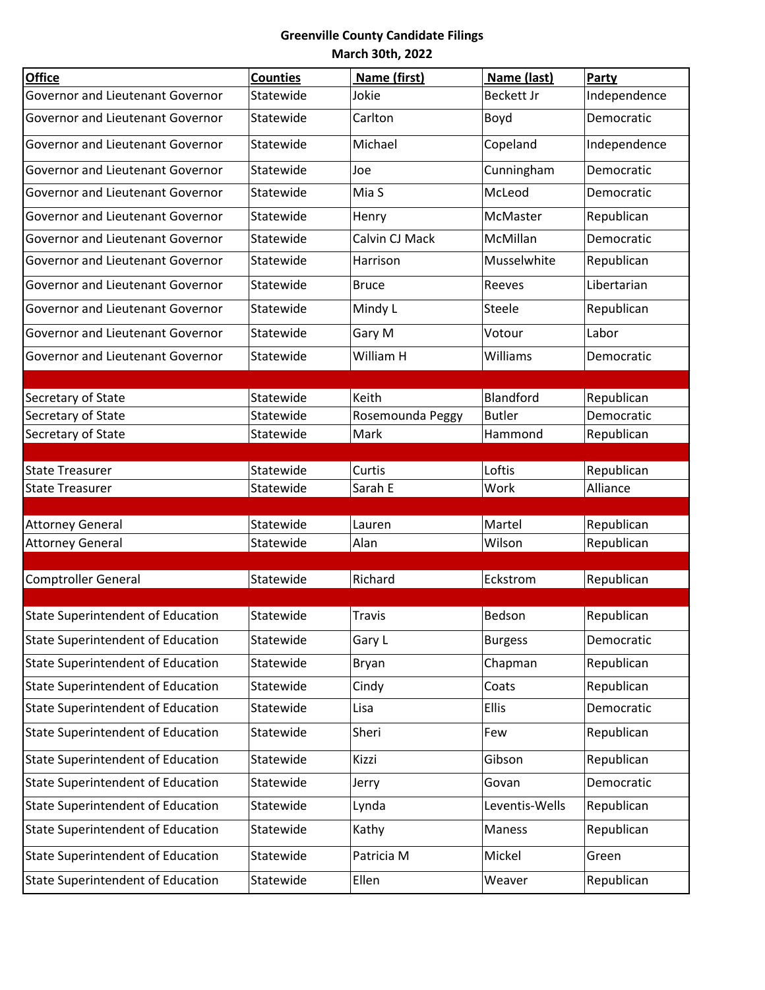| <b>Office</b>                            | <b>Counties</b> | Name (first)     | Name (last)       | Party                    |
|------------------------------------------|-----------------|------------------|-------------------|--------------------------|
| Governor and Lieutenant Governor         | Statewide       | Jokie            | <b>Beckett Jr</b> | Independence             |
| Governor and Lieutenant Governor         | Statewide       | Carlton          | Boyd              | Democratic               |
| Governor and Lieutenant Governor         | Statewide       | Michael          | Copeland          | Independence             |
| Governor and Lieutenant Governor         | Statewide       | Joe              | Cunningham        | Democratic               |
| Governor and Lieutenant Governor         | Statewide       | Mia S            | McLeod            | Democratic               |
| Governor and Lieutenant Governor         | Statewide       | Henry            | McMaster          | Republican               |
| Governor and Lieutenant Governor         | Statewide       | Calvin CJ Mack   | McMillan          | Democratic               |
| Governor and Lieutenant Governor         | Statewide       | Harrison         | Musselwhite       | Republican               |
| Governor and Lieutenant Governor         | Statewide       | <b>Bruce</b>     | Reeves            | Libertarian              |
| Governor and Lieutenant Governor         | Statewide       | Mindy L          | Steele            | Republican               |
| Governor and Lieutenant Governor         | Statewide       | Gary M           | Votour            | Labor                    |
| Governor and Lieutenant Governor         | Statewide       | William H        | Williams          | Democratic               |
|                                          | Statewide       | Keith            | Blandford         |                          |
| Secretary of State<br>Secretary of State | Statewide       | Rosemounda Peggy | <b>Butler</b>     | Republican<br>Democratic |
| Secretary of State                       | Statewide       | Mark             | Hammond           | Republican               |
|                                          |                 |                  |                   |                          |
| <b>State Treasurer</b>                   | Statewide       | Curtis           | Loftis            | Republican               |
| <b>State Treasurer</b>                   | Statewide       | Sarah E          | Work              | Alliance                 |
|                                          |                 |                  |                   |                          |
| <b>Attorney General</b>                  | Statewide       | Lauren           | Martel            | Republican               |
| <b>Attorney General</b>                  | Statewide       | Alan             | Wilson            | Republican               |
| <b>Comptroller General</b>               | Statewide       | Richard          | Eckstrom          | Republican               |
|                                          |                 |                  |                   |                          |
| <b>State Superintendent of Education</b> | Statewide       | <b>Travis</b>    | Bedson            | Republican               |
| <b>State Superintendent of Education</b> | Statewide       | Gary L           | <b>Burgess</b>    | Democratic               |
| <b>State Superintendent of Education</b> | Statewide       | Bryan            | Chapman           | Republican               |
| <b>State Superintendent of Education</b> | Statewide       | Cindy            | Coats             | Republican               |
| <b>State Superintendent of Education</b> | Statewide       | Lisa             | Ellis             | Democratic               |
| <b>State Superintendent of Education</b> | Statewide       | Sheri            | Few               | Republican               |
| <b>State Superintendent of Education</b> | Statewide       | Kizzi            | Gibson            | Republican               |
| <b>State Superintendent of Education</b> | Statewide       | Jerry            | Govan             | Democratic               |
| <b>State Superintendent of Education</b> | Statewide       | Lynda            | Leventis-Wells    | Republican               |
| <b>State Superintendent of Education</b> | Statewide       | Kathy            | Maness            | Republican               |
| <b>State Superintendent of Education</b> | Statewide       | Patricia M       | Mickel            | Green                    |
| State Superintendent of Education        | Statewide       | Ellen            | Weaver            | Republican               |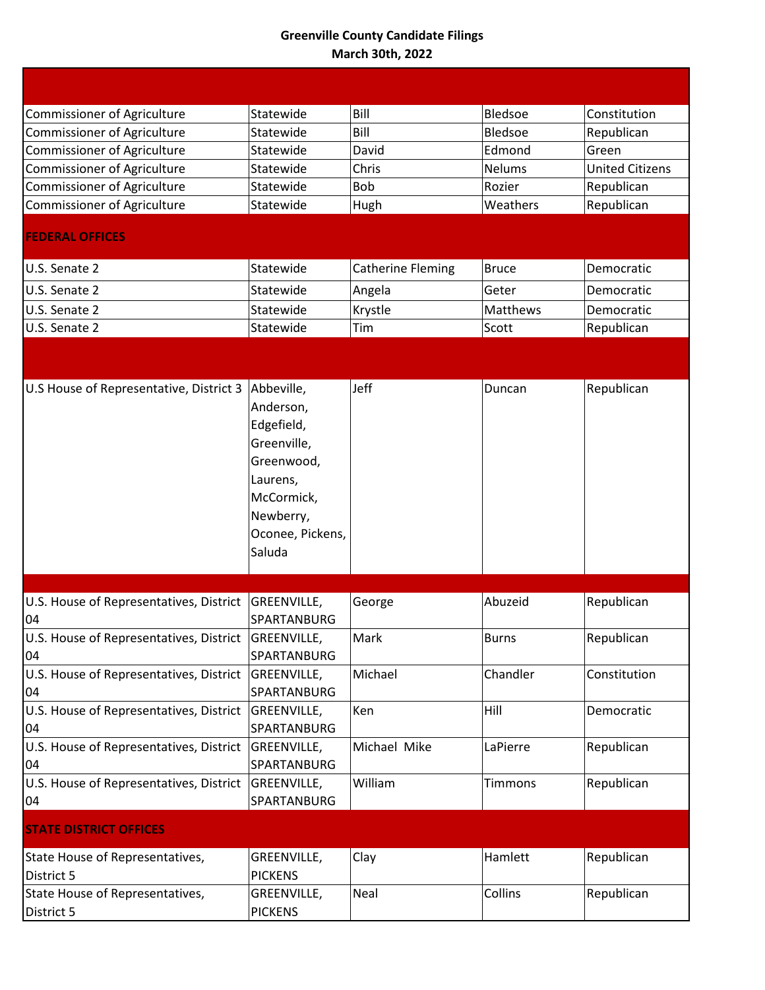| Commissioner of Agriculture                   | Statewide                                                                                                                               | Bill                     | Bledsoe       | Constitution           |
|-----------------------------------------------|-----------------------------------------------------------------------------------------------------------------------------------------|--------------------------|---------------|------------------------|
| Commissioner of Agriculture                   | Statewide                                                                                                                               | Bill                     | Bledsoe       | Republican             |
| Commissioner of Agriculture                   | Statewide                                                                                                                               | David                    | Edmond        | Green                  |
| Commissioner of Agriculture                   | Statewide                                                                                                                               | Chris                    | <b>Nelums</b> | <b>United Citizens</b> |
| Commissioner of Agriculture                   | Statewide                                                                                                                               | Bob                      | Rozier        | Republican             |
| Commissioner of Agriculture                   | Statewide                                                                                                                               | Hugh                     | Weathers      | Republican             |
| <b>FEDERAL OFFICES</b>                        |                                                                                                                                         |                          |               |                        |
| U.S. Senate 2                                 | Statewide                                                                                                                               | <b>Catherine Fleming</b> | <b>Bruce</b>  | Democratic             |
| U.S. Senate 2                                 | Statewide                                                                                                                               | Angela                   | Geter         | Democratic             |
| U.S. Senate 2                                 | Statewide                                                                                                                               | Krystle                  | Matthews      | Democratic             |
| U.S. Senate 2                                 | Statewide                                                                                                                               | Tim                      | Scott         | Republican             |
|                                               |                                                                                                                                         |                          |               |                        |
| U.S House of Representative, District 3       | Abbeville,<br>Anderson,<br>Edgefield,<br>Greenville,<br>Greenwood,<br>Laurens,<br>McCormick,<br>Newberry,<br>Oconee, Pickens,<br>Saluda | Jeff                     | Duncan        | Republican             |
| U.S. House of Representatives, District       | GREENVILLE,                                                                                                                             | George                   | Abuzeid       | Republican             |
| 04                                            | SPARTANBURG                                                                                                                             |                          |               |                        |
| U.S. House of Representatives, District<br>04 | GREENVILLE,<br>SPARTANBURG                                                                                                              | Mark                     | <b>Burns</b>  | Republican             |
| U.S. House of Representatives, District<br>04 | GREENVILLE,<br>SPARTANBURG                                                                                                              | Michael                  | Chandler      | Constitution           |
| U.S. House of Representatives, District<br>04 | GREENVILLE,<br>SPARTANBURG                                                                                                              | Ken                      | Hill          | Democratic             |
| U.S. House of Representatives, District<br>04 | GREENVILLE,<br>SPARTANBURG                                                                                                              | Michael Mike             | LaPierre      | Republican             |
| U.S. House of Representatives, District<br>04 | GREENVILLE,<br>SPARTANBURG                                                                                                              | William                  | Timmons       | Republican             |
| <b>STATE DISTRICT OFFICES</b>                 |                                                                                                                                         |                          |               |                        |
| State House of Representatives,<br>District 5 | GREENVILLE,<br><b>PICKENS</b>                                                                                                           | Clay                     | Hamlett       | Republican             |
| State House of Representatives,<br>District 5 | GREENVILLE,<br><b>PICKENS</b>                                                                                                           | Neal                     | Collins       | Republican             |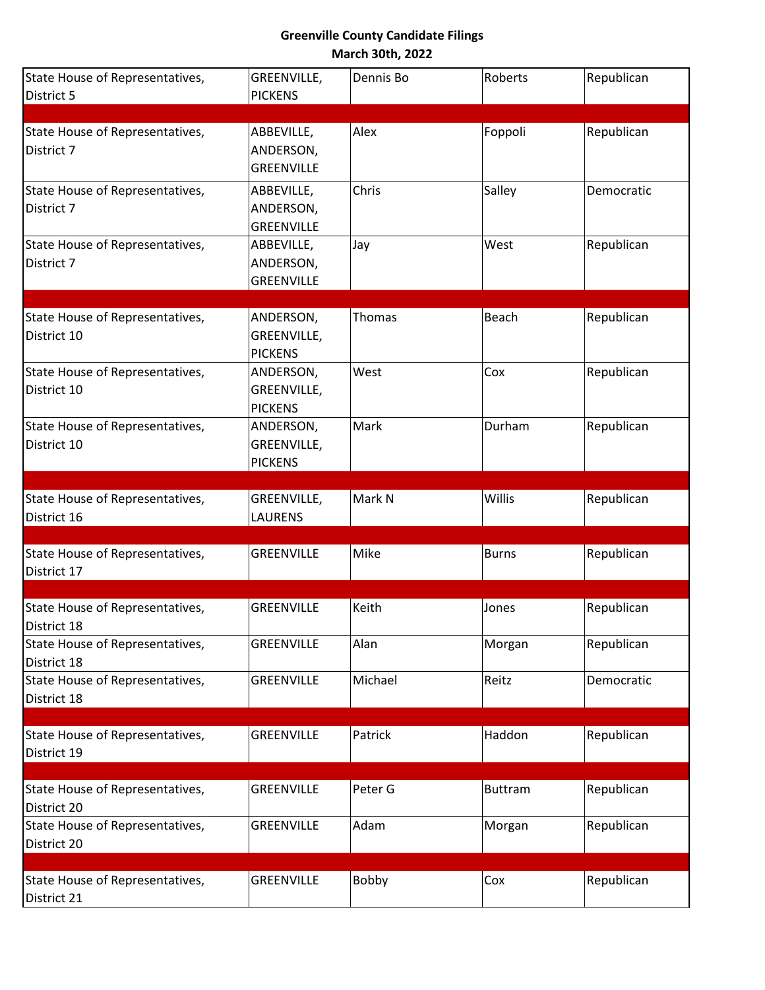| State House of Representatives,                | GREENVILLE,       | Dennis Bo | Roberts        | Republican |
|------------------------------------------------|-------------------|-----------|----------------|------------|
| District 5                                     | <b>PICKENS</b>    |           |                |            |
|                                                |                   |           |                |            |
| State House of Representatives,                | ABBEVILLE,        | Alex      | Foppoli        | Republican |
| District 7                                     | ANDERSON,         |           |                |            |
|                                                | <b>GREENVILLE</b> |           |                |            |
| State House of Representatives,                | ABBEVILLE,        | Chris     | Salley         | Democratic |
| District 7                                     | ANDERSON,         |           |                |            |
|                                                | <b>GREENVILLE</b> |           |                |            |
| State House of Representatives,                | ABBEVILLE,        | Jay       | West           | Republican |
| District 7                                     | ANDERSON,         |           |                |            |
|                                                | <b>GREENVILLE</b> |           |                |            |
| State House of Representatives,                | ANDERSON,         | Thomas    | Beach          | Republican |
| District 10                                    | GREENVILLE,       |           |                |            |
|                                                | <b>PICKENS</b>    |           |                |            |
| State House of Representatives,                | ANDERSON,         | West      | Cox            | Republican |
| District 10                                    | GREENVILLE,       |           |                |            |
|                                                | <b>PICKENS</b>    |           |                |            |
| State House of Representatives,                | ANDERSON,         | Mark      | Durham         | Republican |
| District 10                                    | GREENVILLE,       |           |                |            |
|                                                | <b>PICKENS</b>    |           |                |            |
|                                                |                   |           |                |            |
| State House of Representatives,                | GREENVILLE,       | Mark N    | Willis         | Republican |
| District 16                                    | <b>LAURENS</b>    |           |                |            |
| State House of Representatives,                | <b>GREENVILLE</b> | Mike      | <b>Burns</b>   | Republican |
| District 17                                    |                   |           |                |            |
|                                                |                   |           |                |            |
| State House of Representatives,                | <b>GREENVILLE</b> | Keith     | Jones          | Republican |
| District 18                                    |                   |           |                |            |
| State House of Representatives,                | <b>GREENVILLE</b> | Alan      | Morgan         | Republican |
| District 18                                    |                   |           |                |            |
| State House of Representatives,                | <b>GREENVILLE</b> | Michael   | Reitz          | Democratic |
| District 18                                    |                   |           |                |            |
|                                                |                   |           |                |            |
| State House of Representatives,<br>District 19 | <b>GREENVILLE</b> | Patrick   | Haddon         | Republican |
|                                                |                   |           |                |            |
| State House of Representatives,                | <b>GREENVILLE</b> | Peter G   | <b>Buttram</b> | Republican |
| District 20                                    |                   |           |                |            |
| State House of Representatives,                | <b>GREENVILLE</b> | Adam      | Morgan         | Republican |
| District 20                                    |                   |           |                |            |
|                                                |                   |           |                |            |
| State House of Representatives,                | <b>GREENVILLE</b> | Bobby     | Cox            | Republican |
| District 21                                    |                   |           |                |            |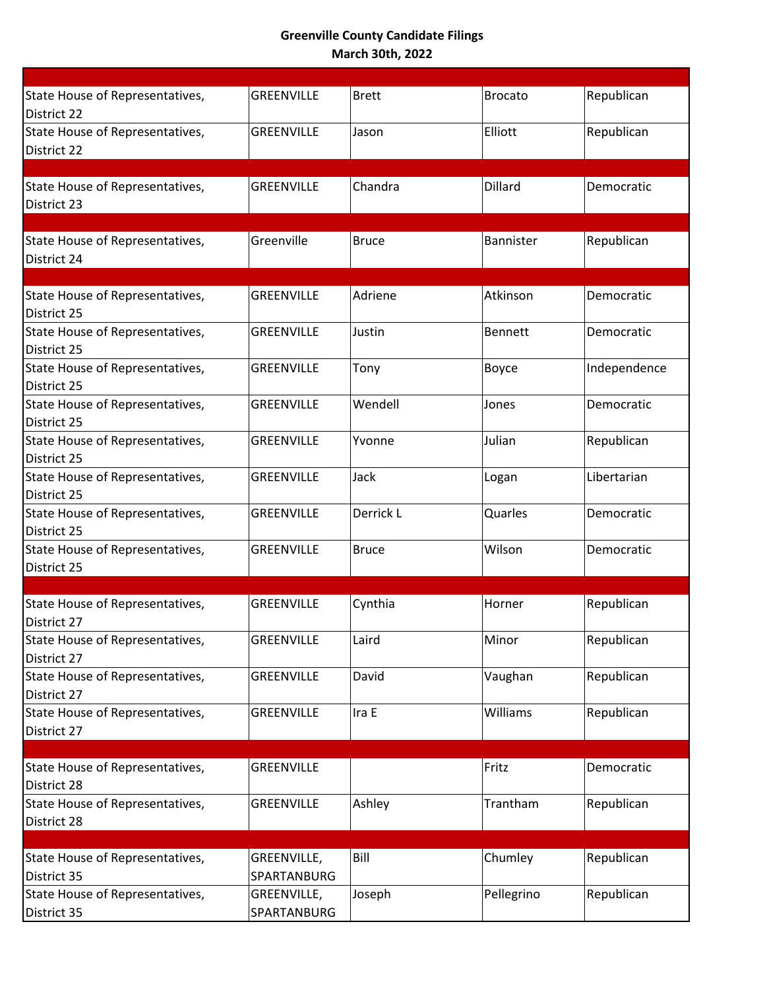| State House of Representatives,<br>District 22 | <b>GREENVILLE</b>          | <b>Brett</b> | <b>Brocato</b> | Republican   |
|------------------------------------------------|----------------------------|--------------|----------------|--------------|
| State House of Representatives,<br>District 22 | GREENVILLE                 | Jason        | Elliott        | Republican   |
|                                                |                            |              |                |              |
| State House of Representatives,<br>District 23 | GREENVILLE                 | Chandra      | <b>Dillard</b> | Democratic   |
|                                                |                            |              |                |              |
| State House of Representatives,<br>District 24 | Greenville                 | <b>Bruce</b> | Bannister      | Republican   |
|                                                |                            |              |                |              |
| State House of Representatives,<br>District 25 | <b>GREENVILLE</b>          | Adriene      | Atkinson       | Democratic   |
| State House of Representatives,<br>District 25 | <b>GREENVILLE</b>          | Justin       | <b>Bennett</b> | Democratic   |
| State House of Representatives,<br>District 25 | <b>GREENVILLE</b>          | Tony         | Boyce          | Independence |
| State House of Representatives,<br>District 25 | <b>GREENVILLE</b>          | Wendell      | Jones          | Democratic   |
| State House of Representatives,<br>District 25 | <b>GREENVILLE</b>          | Yvonne       | Julian         | Republican   |
| State House of Representatives,<br>District 25 | <b>GREENVILLE</b>          | Jack         | Logan          | Libertarian  |
| State House of Representatives,<br>District 25 | <b>GREENVILLE</b>          | Derrick L    | Quarles        | Democratic   |
| State House of Representatives,<br>District 25 | <b>GREENVILLE</b>          | <b>Bruce</b> | Wilson         | Democratic   |
|                                                |                            |              |                |              |
| State House of Representatives,<br>District 27 | <b>GREENVILLE</b>          | Cynthia      | Horner         | Republican   |
| State House of Representatives,<br>District 27 | GREENVILLE                 | Laird        | Minor          | Republican   |
| State House of Representatives,<br>District 27 | <b>GREENVILLE</b>          | David        | Vaughan        | Republican   |
| State House of Representatives,<br>District 27 | <b>GREENVILLE</b>          | Ira E        | Williams       | Republican   |
|                                                |                            |              |                |              |
| State House of Representatives,<br>District 28 | <b>GREENVILLE</b>          |              | Fritz          | Democratic   |
| State House of Representatives,<br>District 28 | <b>GREENVILLE</b>          | Ashley       | Trantham       | Republican   |
|                                                |                            |              |                |              |
| State House of Representatives,<br>District 35 | GREENVILLE,<br>SPARTANBURG | Bill         | Chumley        | Republican   |
| State House of Representatives,<br>District 35 | GREENVILLE,<br>SPARTANBURG | Joseph       | Pellegrino     | Republican   |